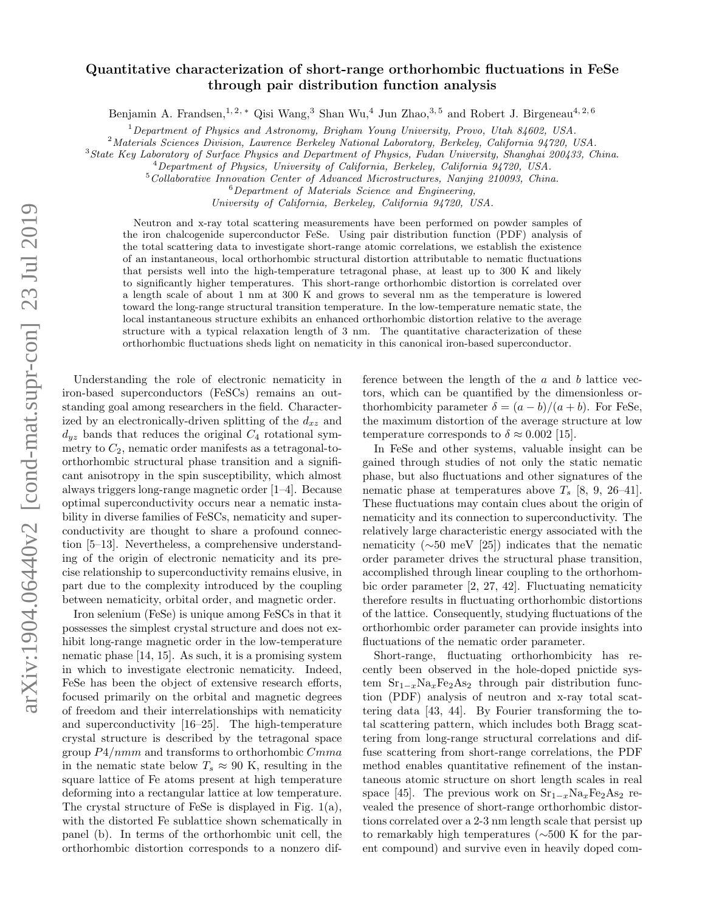## arXiv:1904.06440v2 [cond-mat.supr-con] 23 Jul 2019 arXiv:1904.06440v2 [cond-mat.supr-con] 23 Jul 2019

## Quantitative characterization of short-range orthorhombic fluctuations in FeSe through pair distribution function analysis

Benjamin A. Frandsen,<sup>1, 2, \*</sup> Qisi Wang,<sup>3</sup> Shan Wu,<sup>4</sup> Jun Zhao,<sup>3,5</sup> and Robert J. Birgeneau<sup>4, 2,6</sup>

 $1$ Department of Physics and Astronomy, Brigham Young University, Provo, Utah 84602, USA.

<sup>2</sup>Materials Sciences Division, Lawrence Berkeley National Laboratory, Berkeley, California 94720, USA.

<sup>3</sup>State Key Laboratory of Surface Physics and Department of Physics, Fudan University, Shanghai 200433, China.

<sup>4</sup>Department of Physics, University of California, Berkeley, California 94720, USA.

<sup>5</sup>Collaborative Innovation Center of Advanced Microstructures, Nanjing 210093, China.

 $6$ Department of Materials Science and Engineering,

University of California, Berkeley, California 94720, USA.

Neutron and x-ray total scattering measurements have been performed on powder samples of the iron chalcogenide superconductor FeSe. Using pair distribution function (PDF) analysis of the total scattering data to investigate short-range atomic correlations, we establish the existence of an instantaneous, local orthorhombic structural distortion attributable to nematic fluctuations that persists well into the high-temperature tetragonal phase, at least up to 300 K and likely to significantly higher temperatures. This short-range orthorhombic distortion is correlated over a length scale of about 1 nm at 300 K and grows to several nm as the temperature is lowered toward the long-range structural transition temperature. In the low-temperature nematic state, the local instantaneous structure exhibits an enhanced orthorhombic distortion relative to the average structure with a typical relaxation length of 3 nm. The quantitative characterization of these orthorhombic fluctuations sheds light on nematicity in this canonical iron-based superconductor.

Understanding the role of electronic nematicity in iron-based superconductors (FeSCs) remains an outstanding goal among researchers in the field. Characterized by an electronically-driven splitting of the  $d_{xz}$  and  $d_{yz}$  bands that reduces the original  $C_4$  rotational symmetry to  $C_2$ , nematic order manifests as a tetragonal-toorthorhombic structural phase transition and a significant anisotropy in the spin susceptibility, which almost always triggers long-range magnetic order [1–4]. Because optimal superconductivity occurs near a nematic instability in diverse families of FeSCs, nematicity and superconductivity are thought to share a profound connection [5–13]. Nevertheless, a comprehensive understanding of the origin of electronic nematicity and its precise relationship to superconductivity remains elusive, in part due to the complexity introduced by the coupling between nematicity, orbital order, and magnetic order.

Iron selenium (FeSe) is unique among FeSCs in that it possesses the simplest crystal structure and does not exhibit long-range magnetic order in the low-temperature nematic phase [14, 15]. As such, it is a promising system in which to investigate electronic nematicity. Indeed, FeSe has been the object of extensive research efforts, focused primarily on the orbital and magnetic degrees of freedom and their interrelationships with nematicity and superconductivity [16–25]. The high-temperature crystal structure is described by the tetragonal space group  $P4/nmm$  and transforms to orthorhombic  $Cmma$ in the nematic state below  $T_s \approx 90$  K, resulting in the square lattice of Fe atoms present at high temperature deforming into a rectangular lattice at low temperature. The crystal structure of FeSe is displayed in Fig. 1(a), with the distorted Fe sublattice shown schematically in panel (b). In terms of the orthorhombic unit cell, the orthorhombic distortion corresponds to a nonzero difference between the length of the  $a$  and  $b$  lattice vectors, which can be quantified by the dimensionless orthorhombicity parameter  $\delta = (a - b)/(a + b)$ . For FeSe, the maximum distortion of the average structure at low temperature corresponds to  $\delta \approx 0.002$  [15].

In FeSe and other systems, valuable insight can be gained through studies of not only the static nematic phase, but also fluctuations and other signatures of the nematic phase at temperatures above  $T_s$  [8, 9, 26–41]. These fluctuations may contain clues about the origin of nematicity and its connection to superconductivity. The relatively large characteristic energy associated with the nematicity (∼50 meV [25]) indicates that the nematic order parameter drives the structural phase transition, accomplished through linear coupling to the orthorhombic order parameter [2, 27, 42]. Fluctuating nematicity therefore results in fluctuating orthorhombic distortions of the lattice. Consequently, studying fluctuations of the orthorhombic order parameter can provide insights into fluctuations of the nematic order parameter.

Short-range, fluctuating orthorhombicity has recently been observed in the hole-doped pnictide system  $Sr_{1-x}Na_{x}Fe_{2}As_{2}$  through pair distribution function (PDF) analysis of neutron and x-ray total scattering data [43, 44]. By Fourier transforming the total scattering pattern, which includes both Bragg scattering from long-range structural correlations and diffuse scattering from short-range correlations, the PDF method enables quantitative refinement of the instantaneous atomic structure on short length scales in real space [45]. The previous work on  $S_{1-x}Na_{x}Fe_{2}As_{2}$  revealed the presence of short-range orthorhombic distortions correlated over a 2-3 nm length scale that persist up to remarkably high temperatures (∼500 K for the parent compound) and survive even in heavily doped com-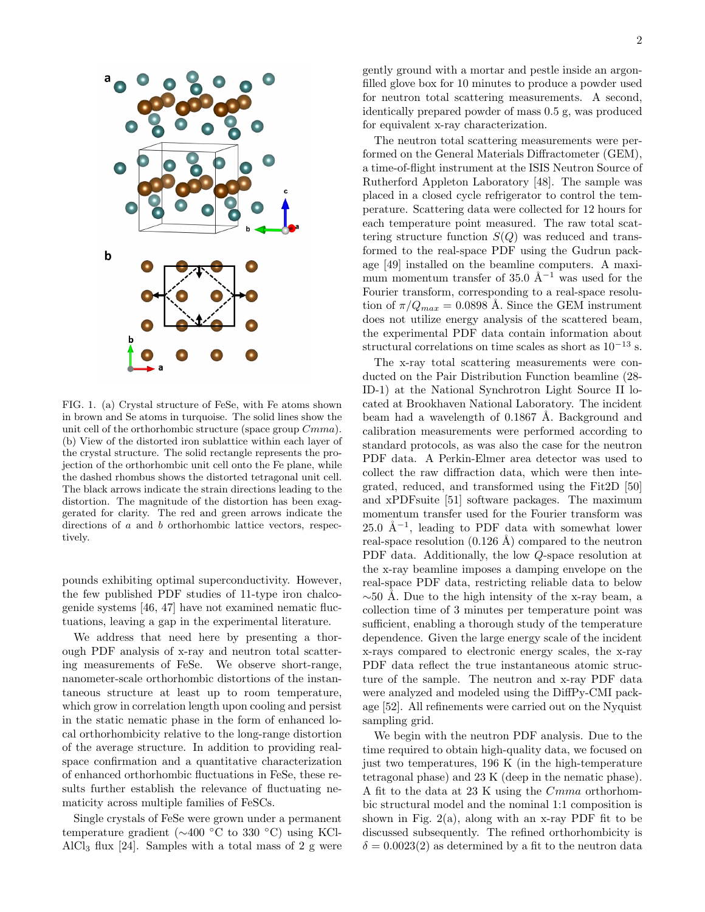

FIG. 1. (a) Crystal structure of FeSe, with Fe atoms shown in brown and Se atoms in turquoise. The solid lines show the unit cell of the orthorhombic structure (space group Cmma). (b) View of the distorted iron sublattice within each layer of the crystal structure. The solid rectangle represents the projection of the orthorhombic unit cell onto the Fe plane, while the dashed rhombus shows the distorted tetragonal unit cell. The black arrows indicate the strain directions leading to the distortion. The magnitude of the distortion has been exaggerated for clarity. The red and green arrows indicate the directions of a and b orthorhombic lattice vectors, respectively.

pounds exhibiting optimal superconductivity. However, the few published PDF studies of 11-type iron chalcogenide systems [46, 47] have not examined nematic fluctuations, leaving a gap in the experimental literature.

We address that need here by presenting a thorough PDF analysis of x-ray and neutron total scattering measurements of FeSe. We observe short-range, nanometer-scale orthorhombic distortions of the instantaneous structure at least up to room temperature, which grow in correlation length upon cooling and persist in the static nematic phase in the form of enhanced local orthorhombicity relative to the long-range distortion of the average structure. In addition to providing realspace confirmation and a quantitative characterization of enhanced orthorhombic fluctuations in FeSe, these results further establish the relevance of fluctuating nematicity across multiple families of FeSCs.

Single crystals of FeSe were grown under a permanent temperature gradient (∼400 ◦C to 330 ◦C) using KCl-AlCl<sub>3</sub> flux [24]. Samples with a total mass of 2 g were gently ground with a mortar and pestle inside an argonfilled glove box for 10 minutes to produce a powder used for neutron total scattering measurements. A second, identically prepared powder of mass 0.5 g, was produced for equivalent x-ray characterization.

The neutron total scattering measurements were performed on the General Materials Diffractometer (GEM), a time-of-flight instrument at the ISIS Neutron Source of Rutherford Appleton Laboratory [48]. The sample was placed in a closed cycle refrigerator to control the temperature. Scattering data were collected for 12 hours for each temperature point measured. The raw total scattering structure function  $S(Q)$  was reduced and transformed to the real-space PDF using the Gudrun package [49] installed on the beamline computers. A maximum momentum transfer of 35.0  $\AA^{-1}$  was used for the Fourier transform, corresponding to a real-space resolution of  $\pi/Q_{max} = 0.0898$  Å. Since the GEM instrument does not utilize energy analysis of the scattered beam, the experimental PDF data contain information about structural correlations on time scales as short as  $10^{-13}$  s.

The x-ray total scattering measurements were conducted on the Pair Distribution Function beamline (28- ID-1) at the National Synchrotron Light Source II located at Brookhaven National Laboratory. The incident beam had a wavelength of  $0.1867$  Å. Background and calibration measurements were performed according to standard protocols, as was also the case for the neutron PDF data. A Perkin-Elmer area detector was used to collect the raw diffraction data, which were then integrated, reduced, and transformed using the Fit2D [50] and xPDFsuite [51] software packages. The maximum momentum transfer used for the Fourier transform was 25.0 Å<sup>-1</sup>, leading to PDF data with somewhat lower real-space resolution  $(0.126 \text{ Å})$  compared to the neutron PDF data. Additionally, the low Q-space resolution at the x-ray beamline imposes a damping envelope on the real-space PDF data, restricting reliable data to below  $\sim$ 50 Å. Due to the high intensity of the x-ray beam, a collection time of 3 minutes per temperature point was sufficient, enabling a thorough study of the temperature dependence. Given the large energy scale of the incident x-rays compared to electronic energy scales, the x-ray PDF data reflect the true instantaneous atomic structure of the sample. The neutron and x-ray PDF data were analyzed and modeled using the DiffPy-CMI package [52]. All refinements were carried out on the Nyquist sampling grid.

We begin with the neutron PDF analysis. Due to the time required to obtain high-quality data, we focused on just two temperatures, 196 K (in the high-temperature tetragonal phase) and 23 K (deep in the nematic phase). A fit to the data at 23 K using the Cmma orthorhombic structural model and the nominal 1:1 composition is shown in Fig.  $2(a)$ , along with an x-ray PDF fit to be discussed subsequently. The refined orthorhombicity is  $\delta = 0.0023(2)$  as determined by a fit to the neutron data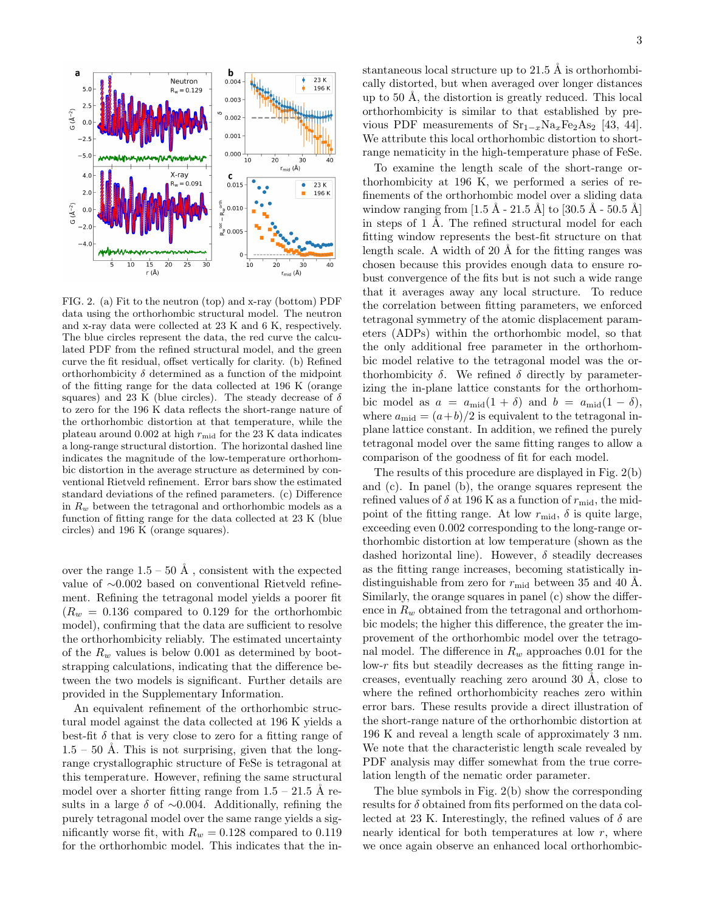

FIG. 2. (a) Fit to the neutron (top) and x-ray (bottom) PDF data using the orthorhombic structural model. The neutron and x-ray data were collected at 23 K and 6 K, respectively. The blue circles represent the data, the red curve the calculated PDF from the refined structural model, and the green curve the fit residual, offset vertically for clarity. (b) Refined orthorhombicity  $\delta$  determined as a function of the midpoint of the fitting range for the data collected at 196 K (orange squares) and 23 K (blue circles). The steady decrease of  $\delta$ to zero for the 196 K data reflects the short-range nature of the orthorhombic distortion at that temperature, while the plateau around 0.002 at high  $r_{mid}$  for the 23 K data indicates a long-range structural distortion. The horizontal dashed line indicates the magnitude of the low-temperature orthorhombic distortion in the average structure as determined by conventional Rietveld refinement. Error bars show the estimated standard deviations of the refined parameters. (c) Difference in  $R_w$  between the tetragonal and orthorhombic models as a function of fitting range for the data collected at 23 K (blue circles) and 196 K (orange squares).

over the range  $1.5 - 50 \text{ Å}$ , consistent with the expected value of ∼0.002 based on conventional Rietveld refinement. Refining the tetragonal model yields a poorer fit  $(R_w = 0.136$  compared to 0.129 for the orthorhombic model), confirming that the data are sufficient to resolve the orthorhombicity reliably. The estimated uncertainty of the  $R_w$  values is below 0.001 as determined by bootstrapping calculations, indicating that the difference between the two models is significant. Further details are provided in the Supplementary Information.

An equivalent refinement of the orthorhombic structural model against the data collected at 196 K yields a best-fit  $\delta$  that is very close to zero for a fitting range of  $1.5 - 50$  Å. This is not surprising, given that the longrange crystallographic structure of FeSe is tetragonal at this temperature. However, refining the same structural model over a shorter fitting range from  $1.5 - 21.5$  Å results in a large  $\delta$  of ~0.004. Additionally, refining the purely tetragonal model over the same range yields a significantly worse fit, with  $R_w = 0.128$  compared to 0.119 for the orthorhombic model. This indicates that the instantaneous local structure up to 21.5 Å is orthorhombically distorted, but when averaged over longer distances up to 50 Å, the distortion is greatly reduced. This local orthorhombicity is similar to that established by previous PDF measurements of  $Sr_{1-x}Na_xFe_2As_2$  [43, 44]. We attribute this local orthorhombic distortion to shortrange nematicity in the high-temperature phase of FeSe.

To examine the length scale of the short-range orthorhombicity at 196 K, we performed a series of refinements of the orthorhombic model over a sliding data window ranging from  $[1.5 \text{ Å} - 21.5 \text{ Å}]$  to  $[30.5 \text{ Å} - 50.5 \text{ Å}]$ in steps of  $1 \text{ Å}$ . The refined structural model for each fitting window represents the best-fit structure on that length scale. A width of  $20 \text{ Å}$  for the fitting ranges was chosen because this provides enough data to ensure robust convergence of the fits but is not such a wide range that it averages away any local structure. To reduce the correlation between fitting parameters, we enforced tetragonal symmetry of the atomic displacement parameters (ADPs) within the orthorhombic model, so that the only additional free parameter in the orthorhombic model relative to the tetragonal model was the orthorhombicity  $\delta$ . We refined  $\delta$  directly by parameterizing the in-plane lattice constants for the orthorhombic model as  $a = a_{mid}(1 + \delta)$  and  $b = a_{mid}(1 - \delta)$ , where  $a_{mid} = (a+b)/2$  is equivalent to the tetragonal inplane lattice constant. In addition, we refined the purely tetragonal model over the same fitting ranges to allow a comparison of the goodness of fit for each model.

The results of this procedure are displayed in Fig. 2(b) and (c). In panel (b), the orange squares represent the refined values of  $\delta$  at 196 K as a function of  $r_{\text{mid}}$ , the midpoint of the fitting range. At low  $r_{\text{mid}}$ ,  $\delta$  is quite large, exceeding even 0.002 corresponding to the long-range orthorhombic distortion at low temperature (shown as the dashed horizontal line). However,  $\delta$  steadily decreases as the fitting range increases, becoming statistically indistinguishable from zero for  $r_{\text{mid}}$  between 35 and 40 Å. Similarly, the orange squares in panel (c) show the difference in  $R_w$  obtained from the tetragonal and orthorhombic models; the higher this difference, the greater the improvement of the orthorhombic model over the tetragonal model. The difference in  $R_w$  approaches 0.01 for the  $low-r$  fits but steadily decreases as the fitting range increases, eventually reaching zero around  $30 \text{ Å}$ , close to where the refined orthorhombicity reaches zero within error bars. These results provide a direct illustration of the short-range nature of the orthorhombic distortion at 196 K and reveal a length scale of approximately 3 nm. We note that the characteristic length scale revealed by PDF analysis may differ somewhat from the true correlation length of the nematic order parameter.

The blue symbols in Fig. 2(b) show the corresponding results for  $\delta$  obtained from fits performed on the data collected at 23 K. Interestingly, the refined values of  $\delta$  are nearly identical for both temperatures at low  $r$ , where we once again observe an enhanced local orthorhombic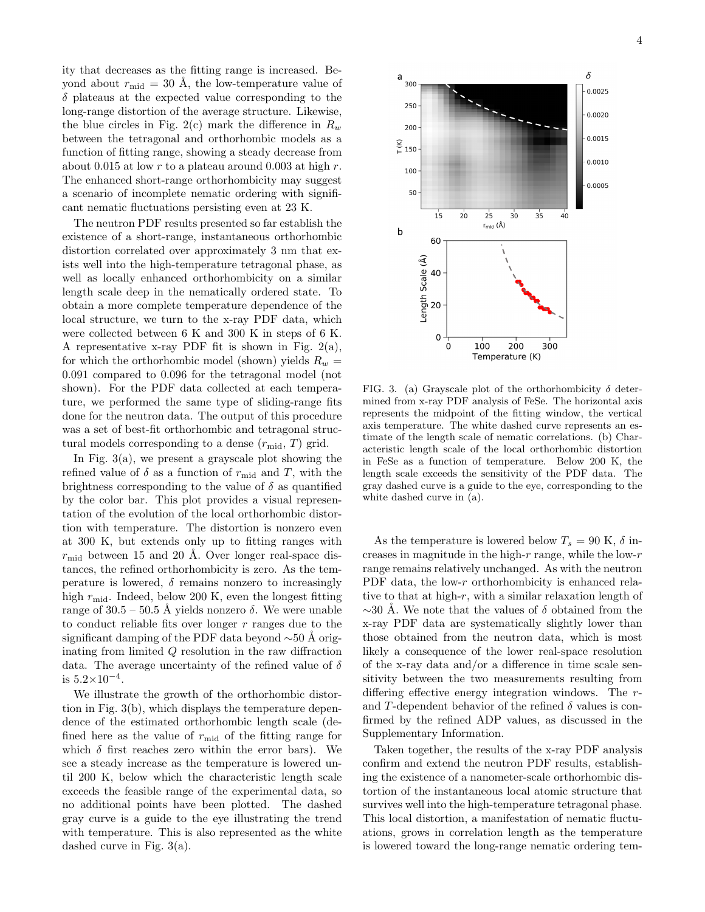ity that decreases as the fitting range is increased. Beyond about  $r_{\text{mid}} = 30$  Å, the low-temperature value of  $\delta$  plateaus at the expected value corresponding to the long-range distortion of the average structure. Likewise, the blue circles in Fig. 2(c) mark the difference in  $R_w$ between the tetragonal and orthorhombic models as a function of fitting range, showing a steady decrease from about 0.015 at low r to a plateau around 0.003 at high r. The enhanced short-range orthorhombicity may suggest a scenario of incomplete nematic ordering with significant nematic fluctuations persisting even at 23 K.

The neutron PDF results presented so far establish the existence of a short-range, instantaneous orthorhombic distortion correlated over approximately 3 nm that exists well into the high-temperature tetragonal phase, as well as locally enhanced orthorhombicity on a similar length scale deep in the nematically ordered state. To obtain a more complete temperature dependence of the local structure, we turn to the x-ray PDF data, which were collected between 6 K and 300 K in steps of 6 K. A representative x-ray PDF fit is shown in Fig.  $2(a)$ , for which the orthorhombic model (shown) yields  $R_w =$ 0.091 compared to 0.096 for the tetragonal model (not shown). For the PDF data collected at each temperature, we performed the same type of sliding-range fits done for the neutron data. The output of this procedure was a set of best-fit orthorhombic and tetragonal structural models corresponding to a dense  $(r_{\text{mid}}, T)$  grid.

In Fig.  $3(a)$ , we present a grayscale plot showing the refined value of  $\delta$  as a function of  $r_{\text{mid}}$  and T, with the brightness corresponding to the value of  $\delta$  as quantified by the color bar. This plot provides a visual representation of the evolution of the local orthorhombic distortion with temperature. The distortion is nonzero even at 300 K, but extends only up to fitting ranges with  $r_{\rm mid}$  between 15 and 20 Å. Over longer real-space distances, the refined orthorhombicity is zero. As the temperature is lowered,  $\delta$  remains nonzero to increasingly high  $r_{\text{mid}}$ . Indeed, below 200 K, even the longest fitting range of  $30.5 - 50.5$  Å yields nonzero  $\delta$ . We were unable to conduct reliable fits over longer  $r$  ranges due to the significant damping of the PDF data beyond  $\sim 50$  Å originating from limited Q resolution in the raw diffraction data. The average uncertainty of the refined value of  $\delta$ is  $5.2 \times 10^{-4}$ .

We illustrate the growth of the orthorhombic distortion in Fig. 3(b), which displays the temperature dependence of the estimated orthorhombic length scale (defined here as the value of  $r_{\text{mid}}$  of the fitting range for which  $\delta$  first reaches zero within the error bars). We see a steady increase as the temperature is lowered until 200 K, below which the characteristic length scale exceeds the feasible range of the experimental data, so no additional points have been plotted. The dashed gray curve is a guide to the eye illustrating the trend with temperature. This is also represented as the white dashed curve in Fig. 3(a).



FIG. 3. (a) Grayscale plot of the orthorhombicity  $\delta$  determined from x-ray PDF analysis of FeSe. The horizontal axis represents the midpoint of the fitting window, the vertical axis temperature. The white dashed curve represents an estimate of the length scale of nematic correlations. (b) Characteristic length scale of the local orthorhombic distortion in FeSe as a function of temperature. Below 200 K, the length scale exceeds the sensitivity of the PDF data. The gray dashed curve is a guide to the eye, corresponding to the white dashed curve in (a).

As the temperature is lowered below  $T_s = 90 \text{ K}, \delta$  increases in magnitude in the high- $r$  range, while the low- $r$ range remains relatively unchanged. As with the neutron PDF data, the low-r orthorhombicity is enhanced relative to that at high- $r$ , with a similar relaxation length of  $\sim$ 30 Å. We note that the values of  $\delta$  obtained from the x-ray PDF data are systematically slightly lower than those obtained from the neutron data, which is most likely a consequence of the lower real-space resolution of the x-ray data and/or a difference in time scale sensitivity between the two measurements resulting from differing effective energy integration windows. The rand T-dependent behavior of the refined  $\delta$  values is confirmed by the refined ADP values, as discussed in the Supplementary Information.

Taken together, the results of the x-ray PDF analysis confirm and extend the neutron PDF results, establishing the existence of a nanometer-scale orthorhombic distortion of the instantaneous local atomic structure that survives well into the high-temperature tetragonal phase. This local distortion, a manifestation of nematic fluctuations, grows in correlation length as the temperature is lowered toward the long-range nematic ordering tem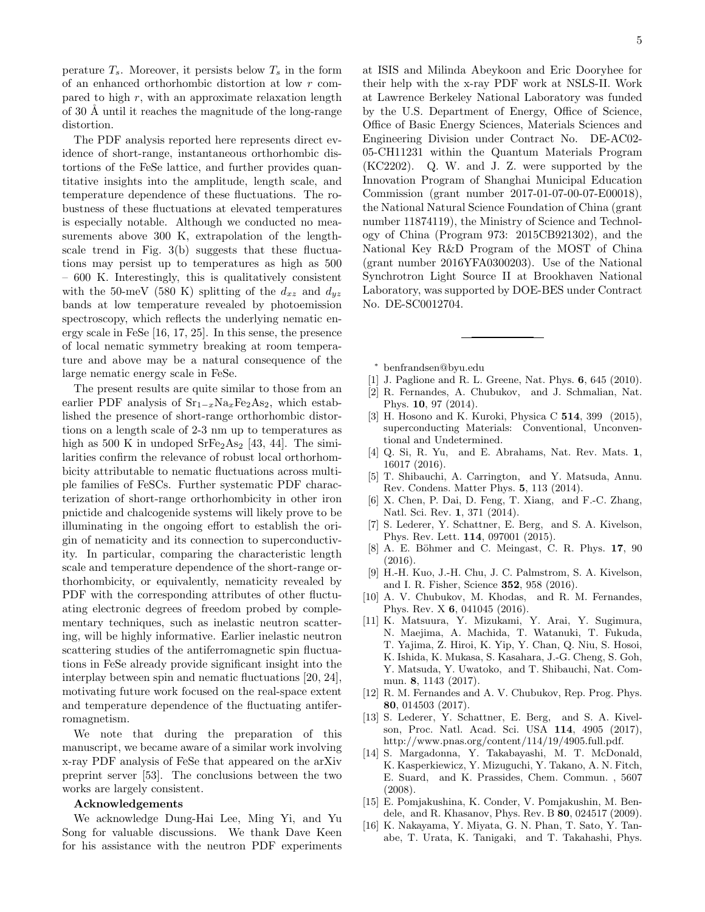perature  $T_s$ . Moreover, it persists below  $T_s$  in the form of an enhanced orthorhombic distortion at low r compared to high r, with an approximate relaxation length of 30 Å until it reaches the magnitude of the long-range distortion.

The PDF analysis reported here represents direct evidence of short-range, instantaneous orthorhombic distortions of the FeSe lattice, and further provides quantitative insights into the amplitude, length scale, and temperature dependence of these fluctuations. The robustness of these fluctuations at elevated temperatures is especially notable. Although we conducted no measurements above 300 K, extrapolation of the lengthscale trend in Fig. 3(b) suggests that these fluctuations may persist up to temperatures as high as 500 – 600 K. Interestingly, this is qualitatively consistent with the 50-meV (580 K) splitting of the  $d_{xz}$  and  $d_{yz}$ bands at low temperature revealed by photoemission spectroscopy, which reflects the underlying nematic energy scale in FeSe [16, 17, 25]. In this sense, the presence of local nematic symmetry breaking at room temperature and above may be a natural consequence of the large nematic energy scale in FeSe.

The present results are quite similar to those from an earlier PDF analysis of  $Sr_{1-x}Na_xFe_2As_2$ , which established the presence of short-range orthorhombic distortions on a length scale of 2-3 nm up to temperatures as high as 500 K in undoped  $SrFe<sub>2</sub>As<sub>2</sub>$  [43, 44]. The similarities confirm the relevance of robust local orthorhombicity attributable to nematic fluctuations across multiple families of FeSCs. Further systematic PDF characterization of short-range orthorhombicity in other iron pnictide and chalcogenide systems will likely prove to be illuminating in the ongoing effort to establish the origin of nematicity and its connection to superconductivity. In particular, comparing the characteristic length scale and temperature dependence of the short-range orthorhombicity, or equivalently, nematicity revealed by PDF with the corresponding attributes of other fluctuating electronic degrees of freedom probed by complementary techniques, such as inelastic neutron scattering, will be highly informative. Earlier inelastic neutron scattering studies of the antiferromagnetic spin fluctuations in FeSe already provide significant insight into the interplay between spin and nematic fluctuations [20, 24], motivating future work focused on the real-space extent and temperature dependence of the fluctuating antiferromagnetism.

We note that during the preparation of this manuscript, we became aware of a similar work involving x-ray PDF analysis of FeSe that appeared on the arXiv preprint server [53]. The conclusions between the two works are largely consistent.

## Acknowledgements

We acknowledge Dung-Hai Lee, Ming Yi, and Yu Song for valuable discussions. We thank Dave Keen for his assistance with the neutron PDF experiments at ISIS and Milinda Abeykoon and Eric Dooryhee for their help with the x-ray PDF work at NSLS-II. Work at Lawrence Berkeley National Laboratory was funded by the U.S. Department of Energy, Office of Science, Office of Basic Energy Sciences, Materials Sciences and Engineering Division under Contract No. DE-AC02- 05-CH11231 within the Quantum Materials Program (KC2202). Q. W. and J. Z. were supported by the Innovation Program of Shanghai Municipal Education Commission (grant number 2017-01-07-00-07-E00018), the National Natural Science Foundation of China (grant number 11874119), the Ministry of Science and Technology of China (Program 973: 2015CB921302), and the National Key R&D Program of the MOST of China (grant number 2016YFA0300203). Use of the National Synchrotron Light Source II at Brookhaven National Laboratory, was supported by DOE-BES under Contract No. DE-SC0012704.

- <sup>∗</sup> benfrandsen@byu.edu
- [1] J. Paglione and R. L. Greene, Nat. Phys. 6, 645 (2010).
- [2] R. Fernandes, A. Chubukov, and J. Schmalian, Nat. Phys. 10, 97 (2014).
- [3] H. Hosono and K. Kuroki, Physica C **514**, 399 (2015), superconducting Materials: Conventional, Unconventional and Undetermined.
- [4] Q. Si, R. Yu, and E. Abrahams, Nat. Rev. Mats. 1, 16017 (2016).
- [5] T. Shibauchi, A. Carrington, and Y. Matsuda, Annu. Rev. Condens. Matter Phys. 5, 113 (2014).
- [6] X. Chen, P. Dai, D. Feng, T. Xiang, and F.-C. Zhang, Natl. Sci. Rev. 1, 371 (2014).
- [7] S. Lederer, Y. Schattner, E. Berg, and S. A. Kivelson, Phys. Rev. Lett. 114, 097001 (2015).
- [8] A. E. Böhmer and C. Meingast, C. R. Phys. 17, 90 (2016).
- [9] H.-H. Kuo, J.-H. Chu, J. C. Palmstrom, S. A. Kivelson, and I. R. Fisher, Science 352, 958 (2016).
- [10] A. V. Chubukov, M. Khodas, and R. M. Fernandes, Phys. Rev. X 6, 041045 (2016).
- [11] K. Matsuura, Y. Mizukami, Y. Arai, Y. Sugimura, N. Maejima, A. Machida, T. Watanuki, T. Fukuda, T. Yajima, Z. Hiroi, K. Yip, Y. Chan, Q. Niu, S. Hosoi, K. Ishida, K. Mukasa, S. Kasahara, J.-G. Cheng, S. Goh, Y. Matsuda, Y. Uwatoko, and T. Shibauchi, Nat. Commun. 8, 1143 (2017).
- [12] R. M. Fernandes and A. V. Chubukov, Rep. Prog. Phys. 80, 014503 (2017).
- [13] S. Lederer, Y. Schattner, E. Berg, and S. A. Kivelson, Proc. Natl. Acad. Sci. USA 114, 4905 (2017), http://www.pnas.org/content/114/19/4905.full.pdf.
- [14] S. Margadonna, Y. Takabayashi, M. T. McDonald, K. Kasperkiewicz, Y. Mizuguchi, Y. Takano, A. N. Fitch, E. Suard, and K. Prassides, Chem. Commun. , 5607 (2008).
- [15] E. Pomjakushina, K. Conder, V. Pomjakushin, M. Bendele, and R. Khasanov, Phys. Rev. B 80, 024517 (2009).
- [16] K. Nakayama, Y. Miyata, G. N. Phan, T. Sato, Y. Tanabe, T. Urata, K. Tanigaki, and T. Takahashi, Phys.